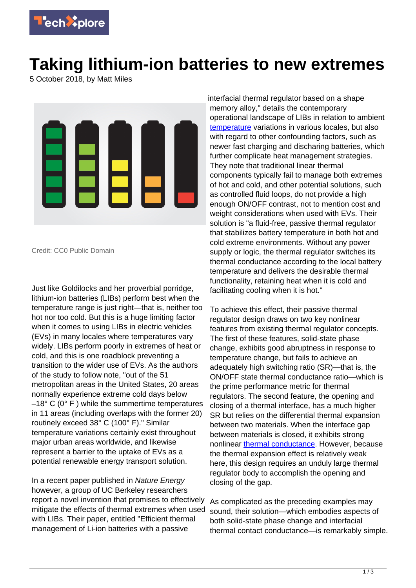

## **Taking lithium-ion batteries to new extremes**

5 October 2018, by Matt Miles



Credit: CC0 Public Domain

Just like Goldilocks and her proverbial porridge, lithium-ion batteries (LIBs) perform best when the temperature range is just right—that is, neither too hot nor too cold. But this is a huge limiting factor when it comes to using LIBs in electric vehicles (EVs) in many locales where temperatures vary widely. LIBs perform poorly in extremes of heat or cold, and this is one roadblock preventing a transition to the wider use of EVs. As the authors of the study to follow note, "out of the 51 metropolitan areas in the United States, 20 areas normally experience extreme cold days below  $-18^{\circ}$  C (0 $^{\circ}$  F) while the summertime temperatures in 11 areas (including overlaps with the former 20) routinely exceed 38° C (100° F)." Similar temperature variations certainly exist throughout major urban areas worldwide, and likewise represent a barrier to the uptake of EVs as a potential renewable energy transport solution.

In a recent paper published in Nature Energy however, a group of UC Berkeley researchers report a novel invention that promises to effectively mitigate the effects of thermal extremes when used with LIBs. Their paper, entitled "Efficient thermal management of Li-ion batteries with a passive

interfacial thermal regulator based on a shape memory alloy," details the contemporary operational landscape of LIBs in relation to ambient [temperature](https://techxplore.com/tags/temperature/) variations in various locales, but also with regard to other confounding factors, such as newer fast charging and discharing batteries, which further complicate heat management strategies. They note that traditional linear thermal components typically fail to manage both extremes of hot and cold, and other potential solutions, such as controlled fluid loops, do not provide a high enough ON/OFF contrast, not to mention cost and weight considerations when used with EVs. Their solution is "a fluid-free, passive thermal regulator that stabilizes battery temperature in both hot and cold extreme environments. Without any power supply or logic, the thermal regulator switches its thermal conductance according to the local battery temperature and delivers the desirable thermal functionality, retaining heat when it is cold and facilitating cooling when it is hot."

To achieve this effect, their passive thermal regulator design draws on two key nonlinear features from existing thermal regulator concepts. The first of these features, solid-state phase change, exhibits good abruptness in response to temperature change, but fails to achieve an adequately high switching ratio (SR)—that is, the ON/OFF state thermal conductance ratio—which is the prime performance metric for thermal regulators. The second feature, the opening and closing of a thermal interface, has a much higher SR but relies on the differential thermal expansion between two materials. When the interface gap between materials is closed, it exhibits strong nonlinear [thermal conductance.](https://techxplore.com/tags/thermal+conductance/) However, because the thermal expansion effect is relatively weak here, this design requires an unduly large thermal regulator body to accomplish the opening and closing of the gap.

As complicated as the preceding examples may sound, their solution—which embodies aspects of both solid-state phase change and interfacial thermal contact conductance—is remarkably simple.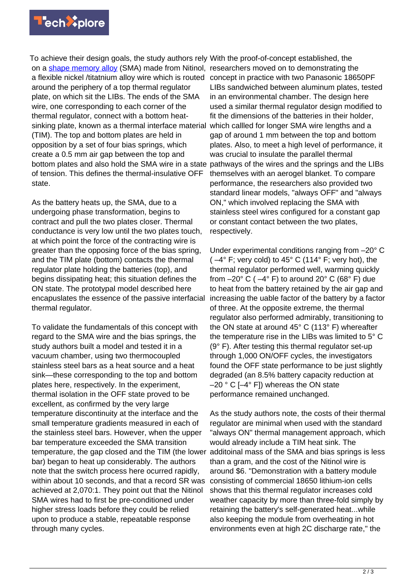

To achieve their design goals, the study authors rely With the proof-of-concept established, the on a [shape memory alloy](https://techxplore.com/tags/shape+memory+alloy/) (SMA) made from Nitinol, researchers moved on to demonstrating the a flexible nickel /titatnium alloy wire which is routed concept in practice with two Panasonic 18650PF around the periphery of a top thermal regulator plate, on which sit the LIBs. The ends of the SMA wire, one corresponding to each corner of the thermal regulator, connect with a bottom heatsinking plate, known as a thermal interface material (TIM). The top and bottom plates are held in opposition by a set of four bias springs, which create a 0.5 mm air gap between the top and bottom plates and also hold the SMA wire in a state of tension. This defines the thermal-insulative OFF state.

As the battery heats up, the SMA, due to a undergoing phase transformation, begins to contract and pull the two plates closer. Thermal conductance is very low until the two plates touch, at which point the force of the contracting wire is greater than the opposing force of the bias spring, and the TIM plate (bottom) contacts the thermal regulator plate holding the batteries (top), and begins dissipating heat; this situation defines the ON state. The prototypal model described here encapuslates the essence of the passive interfacial thermal regulator.

To validate the fundamentals of this concept with regard to the SMA wire and the bias springs, the study authors built a model and tested it in a vacuum chamber, using two thermocoupled stainless steel bars as a heat source and a heat sink—these corresponding to the top and bottom plates here, respectively. In the experiment, thermal isolation in the OFF state proved to be excellent, as confirmed by the very large temperature discontinuity at the interface and the small temperature gradients measured in each of the stainless steel bars. However, when the upper bar temperature exceeded the SMA transition temperature, the gap closed and the TIM (the lower bar) began to heat up considerably. The authors note that the switch process here ocurred rapidly, within about 10 seconds, and that a record SR was achieved at 2,070:1. They point out that the Nitinol SMA wires had to first be pre-conditioned under higher stress loads before they could be relied upon to produce a stable, repeatable response through many cycles.

LIBs sandwiched between aluminum plates, tested in an environmental chamber. The design here used a similar thermal regulator design modified to fit the dimensions of the batteries in their holder, which callled for longer SMA wire lengths and a gap of around 1 mm between the top and bottom plates. Also, to meet a high level of performance, it was crucial to insulate the parallel thermal pathways of the wires and the springs and the LIBs themselves with an aerogel blanket. To compare performance, the researchers also provided two standard linear models, "always OFF" and "always ON," which involved replacing the SMA with stainless steel wires configured for a constant gap or constant contact between the two plates, respectively.

Under experimental conditions ranging from –20° C ( $-4^{\circ}$  F; very cold) to  $45^{\circ}$  C (114 $^{\circ}$  F; very hot), the thermal regulator performed well, warming quickly from  $-20^{\circ}$  C ( $-4^{\circ}$  F) to around 20 $^{\circ}$  C (68 $^{\circ}$  F) due to heat from the battery retained by the air gap and increasing the uable factor of the battery by a factor of three. At the opposite extreme, the thermal regulator also performed admirably, transitioning to the ON state at around 45° C (113° F) whereafter the temperature rise in the LIBs was limited to 5° C (9° F). After testing this thermal regulator set-up through 1,000 ON/OFF cycles, the investigators found the OFF state performance to be just slightly degraded (an 8.5% battery capacity reduction at  $-20$  ° C [ $-4$ ° F]) whereas the ON state performance remained unchanged.

As the study authors note, the costs of their thermal regulator are minimal when used with the standard "always ON" thermal management approach, which would already include a TIM heat sink. The additoinal mass of the SMA and bias springs is less than a gram, and the cost of the Nitinol wire is around \$6. "Demonstration with a battery module consisting of commercial 18650 lithium-ion cells shows that this thermal regulator increases cold weather capacity by more than three-fold simply by retaining the battery's self-generated heat...while also keeping the module from overheating in hot environments even at high 2C discharge rate," the